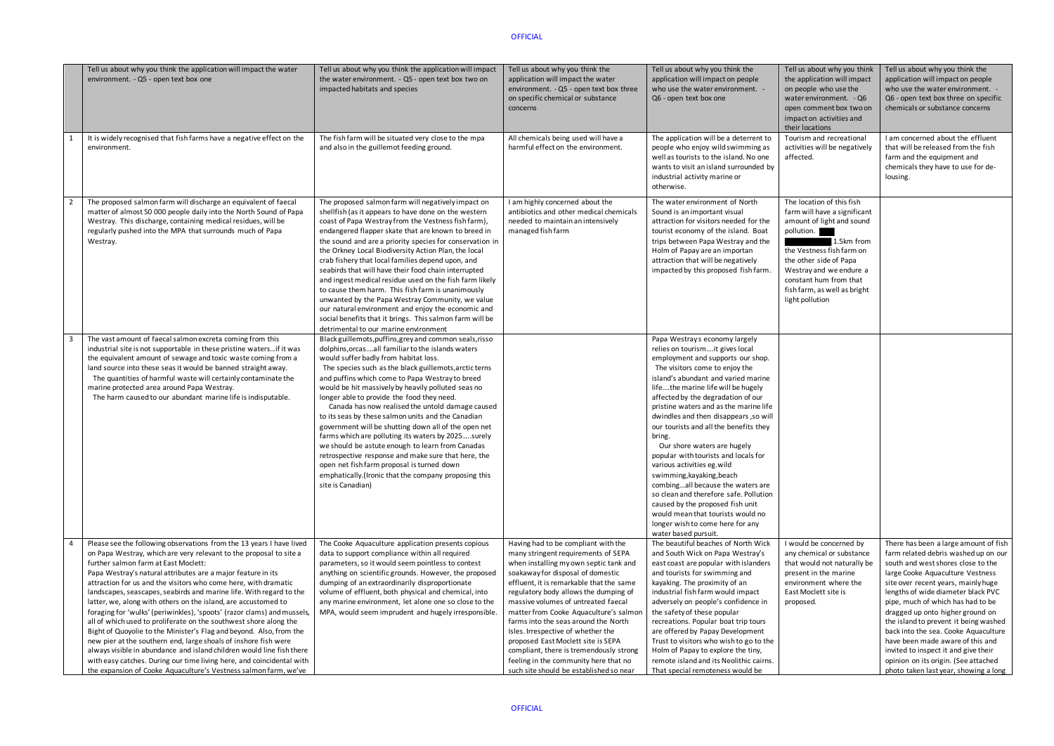|                | Tell us about why you think the application will impact the water<br>environment. - Q5 - open text box one                                                                                                                                                                                                                                                                                                                                                                                                                                                                                                                                                                                                                                                                                                                                                                                                                                                                     | Tell us about why you think the application will impact<br>the water environment. - Q5 - open text box two on<br>impacted habitats and species                                                                                                                                                                                                                                                                                                                                                                                                                                                                                                                                                                                                                                                                                        | Tell us about why you think the<br>application will impact the water<br>environment. - Q5 - open text box three<br>on specific chemical or substance<br>concerns                                                                                                                                                                                                                                                                                                                                                                                                                   | Tell us about why you think the<br>application will impact on people<br>who use the water environment. -<br>Q6 - open text box one                                                                                                                                                                                                                                                                                                                                                                                                                                                                                                                                                                                                                      | Tell<br>the<br>on p<br>wat<br>ope<br>imp<br>thei                        |
|----------------|--------------------------------------------------------------------------------------------------------------------------------------------------------------------------------------------------------------------------------------------------------------------------------------------------------------------------------------------------------------------------------------------------------------------------------------------------------------------------------------------------------------------------------------------------------------------------------------------------------------------------------------------------------------------------------------------------------------------------------------------------------------------------------------------------------------------------------------------------------------------------------------------------------------------------------------------------------------------------------|---------------------------------------------------------------------------------------------------------------------------------------------------------------------------------------------------------------------------------------------------------------------------------------------------------------------------------------------------------------------------------------------------------------------------------------------------------------------------------------------------------------------------------------------------------------------------------------------------------------------------------------------------------------------------------------------------------------------------------------------------------------------------------------------------------------------------------------|------------------------------------------------------------------------------------------------------------------------------------------------------------------------------------------------------------------------------------------------------------------------------------------------------------------------------------------------------------------------------------------------------------------------------------------------------------------------------------------------------------------------------------------------------------------------------------|---------------------------------------------------------------------------------------------------------------------------------------------------------------------------------------------------------------------------------------------------------------------------------------------------------------------------------------------------------------------------------------------------------------------------------------------------------------------------------------------------------------------------------------------------------------------------------------------------------------------------------------------------------------------------------------------------------------------------------------------------------|-------------------------------------------------------------------------|
| $\mathbf{1}$   | It is widely recognised that fish farms have a negative effect on the<br>environment.                                                                                                                                                                                                                                                                                                                                                                                                                                                                                                                                                                                                                                                                                                                                                                                                                                                                                          | The fish farm will be situated very close to the mpa<br>and also in the guillemot feeding ground.                                                                                                                                                                                                                                                                                                                                                                                                                                                                                                                                                                                                                                                                                                                                     | All chemicals being used will have a<br>harmful effect on the environment.                                                                                                                                                                                                                                                                                                                                                                                                                                                                                                         | The application will be a deterrent to<br>people who enjoy wild swimming as<br>well as tourists to the island. No one<br>wants to visit an island surrounded by<br>industrial activity marine or<br>otherwise.                                                                                                                                                                                                                                                                                                                                                                                                                                                                                                                                          | Tou<br>acti<br>affe                                                     |
| $\overline{2}$ | The proposed salmon farm will discharge an equivalent of faecal<br>matter of almost 50 000 people daily into the North Sound of Papa<br>Westray. This discharge, containing medical residues, will be<br>regularly pushed into the MPA that surrounds much of Papa<br>Westray.                                                                                                                                                                                                                                                                                                                                                                                                                                                                                                                                                                                                                                                                                                 | The proposed salmon farm will negatively impact on<br>shellfish (as it appears to have done on the western<br>coast of Papa Westray from the Vestness fish farm),<br>endangered flapper skate that are known to breed in<br>the sound and are a priority species for conservation in<br>the Orkney Local Biodiversity Action Plan, the local<br>crab fishery that local families depend upon, and<br>seabirds that will have their food chain interrupted<br>and ingest medical residue used on the fish farm likely<br>to cause them harm. This fish farm is unanimously<br>unwanted by the Papa Westray Community, we value<br>our natural environment and enjoy the economic and<br>social benefits that it brings. This salmon farm will be<br>detrimental to our marine environment                                              | I am highly concerned about the<br>antibiotics and other medical chemicals<br>needed to maintain an intensively<br>managed fish farm                                                                                                                                                                                                                                                                                                                                                                                                                                               | The water environment of North<br>Sound is an important visual<br>attraction for visitors needed for the<br>tourist economy of the island. Boat<br>trips between Papa Westray and the<br>Holm of Papay are an importan<br>attraction that will be negatively<br>impacted by this proposed fish farm.                                                                                                                                                                                                                                                                                                                                                                                                                                                    | The<br>farr<br>amo<br>poll<br>the<br>the<br>We:<br>con:<br>fish<br>ligh |
| 3              | The vast amount of faecal salmon excreta coming from this<br>industrial site is not supportable in these pristine watersif it was<br>the equivalent amount of sewage and toxic waste coming from a<br>land source into these seas it would be banned straight away.<br>The quantities of harmful waste will certainly contaminate the<br>marine protected area around Papa Westray.<br>The harm caused to our abundant marine life is indisputable.                                                                                                                                                                                                                                                                                                                                                                                                                                                                                                                            | Black guillemots, puffins, grey and common seals, risso<br>dolphins, or casall familiar to the islands waters<br>would suffer badly from habitat loss.<br>The species such as the black guillemots, arctic terns<br>and puffins which come to Papa Westray to breed<br>would be hit massively by heavily polluted seas no<br>longer able to provide the food they need.<br>Canada has now realised the untold damage caused<br>to its seas by these salmon units and the Canadian<br>government will be shutting down all of the open net<br>farms which are polluting its waters by 2025surely<br>we should be astute enough to learn from Canadas<br>retrospective response and make sure that here, the<br>open net fish farm proposal is turned down<br>emphatically.(Ironic that the company proposing this<br>site is Canadian) |                                                                                                                                                                                                                                                                                                                                                                                                                                                                                                                                                                                    | Papa Westrays economy largely<br>relies on tourismit gives local<br>employment and supports our shop.<br>The visitors come to enjoy the<br>island's abundant and varied marine<br>lifethe marine life will be hugely<br>affected by the degradation of our<br>pristine waters and as the marine life<br>dwindles and then disappears, so will<br>our tourists and all the benefits they<br>bring.<br>Our shore waters are hugely<br>popular with tourists and locals for<br>various activities eg.wild<br>swimming, kayaking, beach<br>combingall because the waters are<br>so clean and therefore safe. Pollution<br>caused by the proposed fish unit<br>would mean that tourists would no<br>longer wish to come here for any<br>water based pursuit. |                                                                         |
| 4              | Please see the following observations from the 13 years I have lived<br>on Papa Westray, which are very relevant to the proposal to site a<br>further salmon farm at East Moclett:<br>Papa Westray's natural attributes are a major feature in its<br>attraction for us and the visitors who come here, with dramatic<br>landscapes, seascapes, seabirds and marine life. With regard to the<br>latter, we, along with others on the island, are accustomed to<br>foraging for 'wulks' (periwinkles), 'spoots' (razor clams) and mussels,<br>all of which used to proliferate on the southwest shore along the<br>Bight of Quoyolie to the Minister's Flag and beyond. Also, from the<br>new pier at the southern end, large shoals of inshore fish were<br>always visible in abundance and island children would line fish there<br>with easy catches. During our time living here, and coincidental with<br>the expansion of Cooke Aquaculture's Vestness salmon farm, we've | The Cooke Aquaculture application presents copious<br>data to support compliance within all required<br>parameters, so it would seem pointless to contest<br>anything on scientific grounds. However, the proposed<br>dumping of an extraordinarily disproportionate<br>volume of effluent, both physical and chemical, into<br>any marine environment, let alone one so close to the<br>MPA, would seem imprudent and hugely irresponsible.                                                                                                                                                                                                                                                                                                                                                                                          | Having had to be compliant with the<br>many stringent requirements of SEPA<br>when installing my own septic tank and<br>soakaway for disposal of domestic<br>effluent, it is remarkable that the same<br>regulatory body allows the dumping of<br>massive volumes of untreated faecal<br>matter from Cooke Aquaculture's salmon<br>farms into the seas around the North<br>Isles. Irrespective of whether the<br>proposed East Moclett site is SEPA<br>compliant, there is tremendously strong<br>feeling in the community here that no<br>such site should be established so near | The beautiful beaches of North Wick<br>and South Wick on Papa Westray's<br>east coast are popular with islanders<br>and tourists for swimming and<br>kayaking. The proximity of an<br>industrial fish farm would impact<br>adversely on people's confidence in<br>the safety of these popular<br>recreations. Popular boat trip tours<br>are offered by Papay Development<br>Trust to visitors who wish to go to the<br>Holm of Papay to explore the tiny,<br>remote island and its Neolithic cairns.<br>That special remoteness would be                                                                                                                                                                                                               | I wo<br>any<br>that<br>pres<br>envi<br>East<br>pro                      |

| Tell us about why you think<br>the application will impact<br>on people who use the<br>water environment. - Q6<br>open comment box two on<br>impact on activities and<br>their locations                                                                                          | Tell us about why you think the<br>application will impact on people<br>who use the water environment.<br>Q6 - open text box three on specific<br>chemicals or substance concerns                                                                                                                                                                                                                                                                                                                                                                           |
|-----------------------------------------------------------------------------------------------------------------------------------------------------------------------------------------------------------------------------------------------------------------------------------|-------------------------------------------------------------------------------------------------------------------------------------------------------------------------------------------------------------------------------------------------------------------------------------------------------------------------------------------------------------------------------------------------------------------------------------------------------------------------------------------------------------------------------------------------------------|
| Tourism and recreational<br>activities will be negatively<br>affected.                                                                                                                                                                                                            | I am concerned about the effluent<br>that will be released from the fish<br>farm and the equipment and<br>chemicals they have to use for de-<br>lousing.                                                                                                                                                                                                                                                                                                                                                                                                    |
| The location of this fish<br>farm will have a significant<br>amount of light and sound<br>pollution.<br>1.5km from<br>the Vestness fish farm on<br>the other side of Papa<br>Westray and we endure a<br>constant hum from that<br>fish farm, as well as bright<br>light pollution |                                                                                                                                                                                                                                                                                                                                                                                                                                                                                                                                                             |
|                                                                                                                                                                                                                                                                                   |                                                                                                                                                                                                                                                                                                                                                                                                                                                                                                                                                             |
| I would be concerned by<br>any chemical or substance<br>that would not naturally be<br>present in the marine<br>environment where the<br>East Moclett site is<br>proposed.                                                                                                        | There has been a large amount of fish<br>farm related debris washed up on our<br>south and west shores close to the<br>large Cooke Aquaculture Vestness<br>site over recent years, mainly huge<br>lengths of wide diameter black PVC<br>pipe, much of which has had to be<br>dragged up onto higher ground on<br>the island to prevent it being washed<br>back into the sea. Cooke Aquaculture<br>have been made aware of this and<br>invited to inspect it and give their<br>opinion on its origin. (See attached<br>photo taken last year, showing a long |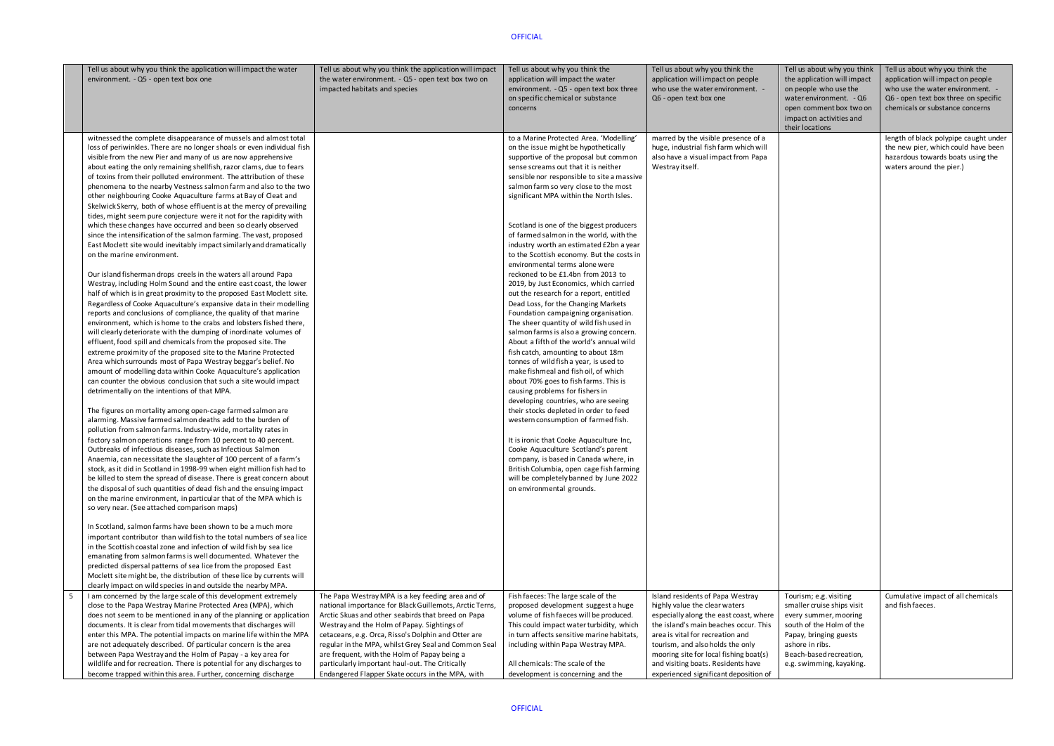| Tell us about why you think the application will impact the water       | Tell us about why you think the application will impact | Tell us about why you think the                                         | Tell us about why you think the        | Tell us about why you think | Tell us about why you think the       |
|-------------------------------------------------------------------------|---------------------------------------------------------|-------------------------------------------------------------------------|----------------------------------------|-----------------------------|---------------------------------------|
| environment. - Q5 - open text box one                                   | the water environment. - Q5 - open text box two on      | application will impact the water                                       | application will impact on people      | the application will impact | application will impact on people     |
|                                                                         | impacted habitats and species                           | environment. - Q5 - open text box three                                 | who use the water environment. -       | on people who use the       | who use the water environment. -      |
|                                                                         |                                                         | on specific chemical or substance                                       | Q6 - open text box one                 | water environment. - Q6     | Q6 - open text box three on specific  |
|                                                                         |                                                         | concerns                                                                |                                        | open comment box two on     | chemicals or substance concerns       |
|                                                                         |                                                         |                                                                         |                                        | impact on activities and    |                                       |
|                                                                         |                                                         |                                                                         |                                        | their locations             |                                       |
| witnessed the complete disappearance of mussels and almost total        |                                                         | to a Marine Protected Area. 'Modelling'                                 | marred by the visible presence of a    |                             | length of black polypipe caught under |
| loss of periwinkles. There are no longer shoals or even individual fish |                                                         | on the issue might be hypothetically                                    | huge, industrial fish farm which will  |                             | the new pier, which could have been   |
| visible from the new Pier and many of us are now apprehensive           |                                                         | supportive of the proposal but common                                   | also have a visual impact from Papa    |                             | hazardous towards boats using the     |
| about eating the only remaining shellfish, razor clams, due to fears    |                                                         | sense screams out that it is neither                                    | Westray itself.                        |                             | waters around the pier.)              |
| of toxins from their polluted environment. The attribution of these     |                                                         | sensible nor responsible to site a massive                              |                                        |                             |                                       |
| phenomena to the nearby Vestness salmon farm and also to the two        |                                                         | salmon farm so very close to the most                                   |                                        |                             |                                       |
| other neighbouring Cooke Aquaculture farms at Bay of Cleat and          |                                                         | significant MPA within the North Isles.                                 |                                        |                             |                                       |
| Skelwick Skerry, both of whose effluent is at the mercy of prevailing   |                                                         |                                                                         |                                        |                             |                                       |
| tides, might seem pure conjecture were it not for the rapidity with     |                                                         |                                                                         |                                        |                             |                                       |
| which these changes have occurred and been so clearly observed          |                                                         | Scotland is one of the biggest producers                                |                                        |                             |                                       |
| since the intensification of the salmon farming. The vast, proposed     |                                                         | of farmed salmon in the world, with the                                 |                                        |                             |                                       |
| East Moclett site would inevitably impact similarly and dramatically    |                                                         | industry worth an estimated £2bn a year                                 |                                        |                             |                                       |
| on the marine environment.                                              |                                                         | to the Scottish economy. But the costs in                               |                                        |                             |                                       |
|                                                                         |                                                         | environmental terms alone were                                          |                                        |                             |                                       |
| Our island fisherman drops creels in the waters all around Papa         |                                                         | reckoned to be £1.4bn from 2013 to                                      |                                        |                             |                                       |
| Westray, including Holm Sound and the entire east coast, the lower      |                                                         | 2019, by Just Economics, which carried                                  |                                        |                             |                                       |
| half of which is in great proximity to the proposed East Moclett site.  |                                                         | out the research for a report, entitled                                 |                                        |                             |                                       |
| Regardless of Cooke Aquaculture's expansive data in their modelling     |                                                         | Dead Loss, for the Changing Markets                                     |                                        |                             |                                       |
| reports and conclusions of compliance, the quality of that marine       |                                                         | Foundation campaigning organisation.                                    |                                        |                             |                                       |
| environment, which is home to the crabs and lobsters fished there,      |                                                         | The sheer quantity of wild fish used in                                 |                                        |                             |                                       |
| will clearly deteriorate with the dumping of inordinate volumes of      |                                                         | salmon farms is also a growing concern.                                 |                                        |                             |                                       |
| effluent, food spill and chemicals from the proposed site. The          |                                                         | About a fifth of the world's annual wild                                |                                        |                             |                                       |
| extreme proximity of the proposed site to the Marine Protected          |                                                         | fish catch, amounting to about 18m                                      |                                        |                             |                                       |
| Area which surrounds most of Papa Westray beggar's belief. No           |                                                         | tonnes of wild fish a year, is used to                                  |                                        |                             |                                       |
| amount of modelling data within Cooke Aquaculture's application         |                                                         | make fishmeal and fish oil, of which                                    |                                        |                             |                                       |
| can counter the obvious conclusion that such a site would impact        |                                                         | about 70% goes to fish farms. This is                                   |                                        |                             |                                       |
| detrimentally on the intentions of that MPA.                            |                                                         | causing problems for fishers in<br>developing countries, who are seeing |                                        |                             |                                       |
| The figures on mortality among open-cage farmed salmon are              |                                                         | their stocks depleted in order to feed                                  |                                        |                             |                                       |
| alarming. Massive farmed salmon deaths add to the burden of             |                                                         | western consumption of farmed fish.                                     |                                        |                             |                                       |
| pollution from salmon farms. Industry-wide, mortality rates in          |                                                         |                                                                         |                                        |                             |                                       |
| factory salmon operations range from 10 percent to 40 percent.          |                                                         | It is ironic that Cooke Aquaculture Inc,                                |                                        |                             |                                       |
| Outbreaks of infectious diseases, such as Infectious Salmon             |                                                         | Cooke Aquaculture Scotland's parent                                     |                                        |                             |                                       |
| Anaemia, can necessitate the slaughter of 100 percent of a farm's       |                                                         | company, is based in Canada where, in                                   |                                        |                             |                                       |
| stock, as it did in Scotland in 1998-99 when eight million fish had to  |                                                         | British Columbia, open cage fish farming                                |                                        |                             |                                       |
| be killed to stem the spread of disease. There is great concern about   |                                                         | will be completely banned by June 2022                                  |                                        |                             |                                       |
| the disposal of such quantities of dead fish and the ensuing impact     |                                                         | on environmental grounds.                                               |                                        |                             |                                       |
| on the marine environment, in particular that of the MPA which is       |                                                         |                                                                         |                                        |                             |                                       |
| so very near. (See attached comparison maps)                            |                                                         |                                                                         |                                        |                             |                                       |
|                                                                         |                                                         |                                                                         |                                        |                             |                                       |
| In Scotland, salmon farms have been shown to be a much more             |                                                         |                                                                         |                                        |                             |                                       |
| important contributor than wild fish to the total numbers of sea lice   |                                                         |                                                                         |                                        |                             |                                       |
| in the Scottish coastal zone and infection of wild fish by sea lice     |                                                         |                                                                         |                                        |                             |                                       |
| emanating from salmon farms is well documented. Whatever the            |                                                         |                                                                         |                                        |                             |                                       |
| predicted dispersal patterns of sea lice from the proposed East         |                                                         |                                                                         |                                        |                             |                                       |
| Moclett site might be, the distribution of these lice by currents will  |                                                         |                                                                         |                                        |                             |                                       |
| clearly impact on wild species in and outside the nearby MPA.           |                                                         |                                                                         |                                        |                             |                                       |
| -5<br>I am concerned by the large scale of this development extremely   | The Papa Westray MPA is a key feeding area and of       | Fish faeces: The large scale of the                                     | Island residents of Papa Westray       | Tourism; e.g. visiting      | Cumulative impact of all chemicals    |
| close to the Papa Westray Marine Protected Area (MPA), which            | national importance for Black Guillemots, Arctic Terns, | proposed development suggest a huge                                     | highly value the clear waters          | smaller cruise ships visit  | and fish faeces.                      |
| does not seem to be mentioned in any of the planning or application     | Arctic Skuas and other seabirds that breed on Papa      | volume of fish faeces will be produced.                                 | especially along the east coast, where | every summer, mooring       |                                       |
| documents. It is clear from tidal movements that discharges will        | Westray and the Holm of Papay. Sightings of             | This could impact water turbidity, which                                | the island's main beaches occur. This  | south of the Holm of the    |                                       |
| enter this MPA. The potential impacts on marine life within the MPA     | cetaceans, e.g. Orca, Risso's Dolphin and Otter are     | in turn affects sensitive marine habitats,                              | area is vital for recreation and       | Papay, bringing guests      |                                       |
| are not adequately described. Of particular concern is the area         | regular in the MPA, whilst Grey Seal and Common Seal    | including within Papa Westray MPA.                                      | tourism, and also holds the only       | ashore in ribs.             |                                       |
| between Papa Westray and the Holm of Papay - a key area for             | are frequent, with the Holm of Papay being a            |                                                                         | mooring site for local fishing boat(s) | Beach-based recreation,     |                                       |
| wildlife and for recreation. There is potential for any discharges to   | particularly important haul-out. The Critically         | All chemicals: The scale of the                                         | and visiting boats. Residents have     | e.g. swimming, kayaking.    |                                       |
| become trapped within this area. Further, concerning discharge          | Endangered Flapper Skate occurs in the MPA, with        | development is concerning and the                                       | experienced significant deposition of  |                             |                                       |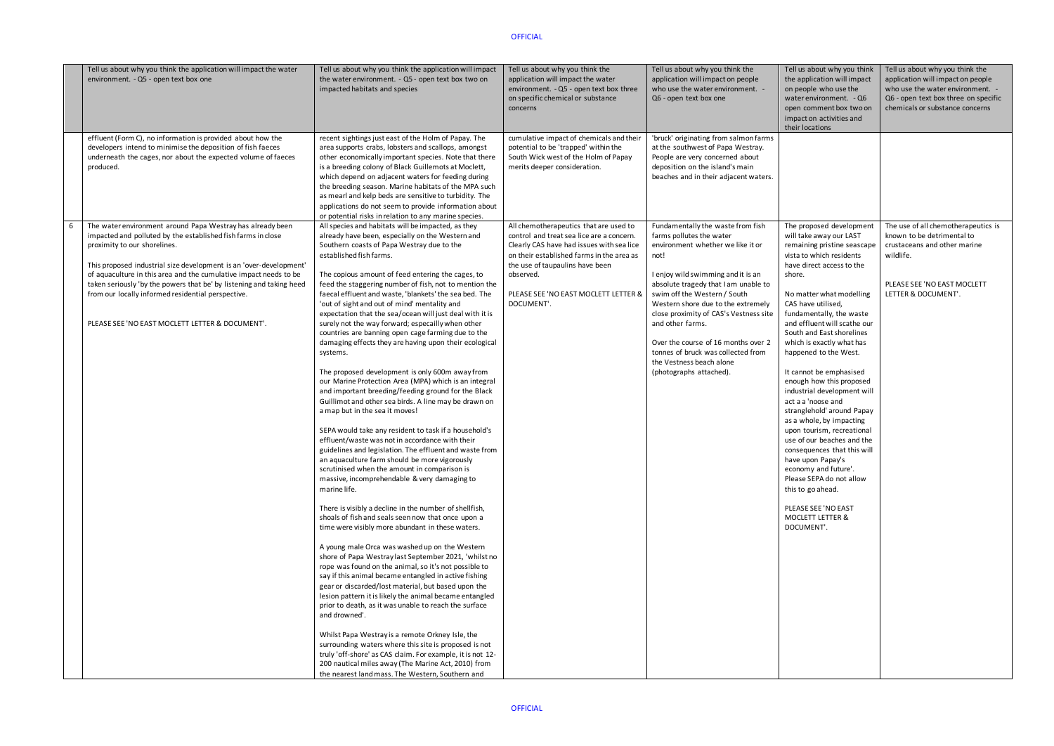|   | Tell us about why you think the application will impact the water<br>environment. - Q5 - open text box one                                                                                                                                                                                                                                                                                                                                                                             | Tell us about why you think the application will impact<br>the water environment. - Q5 - open text box two on<br>impacted habitats and species                                                                                                                                                                                                                                                                                                                                                                                                                                                                                                                                                                                                                                                                                                                                                                                                                                                                                                                                                                                                                                                                                                                                                                                                                                                                                                                                                                                                                                                                                                                                                                                                                                                                                                                                                                                                                                                                                                                                                                                                 | Tell us about why you think the<br>application will impact the water<br>environment. - Q5 - open text box three<br>on specific chemical or substance<br>concerns                                                                                                                    | Tell us about why you think the<br>application will impact on people<br>who use the water environment. -<br>Q6 - open text box one                                                                                                                                                                                                                                                                                                                               | Tell us<br>the ap<br>on per<br>water<br>open<br>impac<br>their I                                                                                                                                                                                                                                       |
|---|----------------------------------------------------------------------------------------------------------------------------------------------------------------------------------------------------------------------------------------------------------------------------------------------------------------------------------------------------------------------------------------------------------------------------------------------------------------------------------------|------------------------------------------------------------------------------------------------------------------------------------------------------------------------------------------------------------------------------------------------------------------------------------------------------------------------------------------------------------------------------------------------------------------------------------------------------------------------------------------------------------------------------------------------------------------------------------------------------------------------------------------------------------------------------------------------------------------------------------------------------------------------------------------------------------------------------------------------------------------------------------------------------------------------------------------------------------------------------------------------------------------------------------------------------------------------------------------------------------------------------------------------------------------------------------------------------------------------------------------------------------------------------------------------------------------------------------------------------------------------------------------------------------------------------------------------------------------------------------------------------------------------------------------------------------------------------------------------------------------------------------------------------------------------------------------------------------------------------------------------------------------------------------------------------------------------------------------------------------------------------------------------------------------------------------------------------------------------------------------------------------------------------------------------------------------------------------------------------------------------------------------------|-------------------------------------------------------------------------------------------------------------------------------------------------------------------------------------------------------------------------------------------------------------------------------------|------------------------------------------------------------------------------------------------------------------------------------------------------------------------------------------------------------------------------------------------------------------------------------------------------------------------------------------------------------------------------------------------------------------------------------------------------------------|--------------------------------------------------------------------------------------------------------------------------------------------------------------------------------------------------------------------------------------------------------------------------------------------------------|
|   | effluent (Form C), no information is provided about how the<br>developers intend to minimise the deposition of fish faeces<br>underneath the cages, nor about the expected volume of faeces<br>produced.                                                                                                                                                                                                                                                                               | recent sightings just east of the Holm of Papay. The<br>area supports crabs, lobsters and scallops, amongst<br>other economically important species. Note that there<br>is a breeding colony of Black Guillemots at Moclett,<br>which depend on adjacent waters for feeding during<br>the breeding season. Marine habitats of the MPA such<br>as mearl and kelp beds are sensitive to turbidity. The<br>applications do not seem to provide information about<br>or potential risks in relation to any marine species.                                                                                                                                                                                                                                                                                                                                                                                                                                                                                                                                                                                                                                                                                                                                                                                                                                                                                                                                                                                                                                                                                                                                                                                                                                                                                                                                                                                                                                                                                                                                                                                                                         | cumulative impact of chemicals and their<br>potential to be 'trapped' within the<br>South Wick west of the Holm of Papay<br>merits deeper consideration.                                                                                                                            | 'bruck' originating from salmon farms<br>at the southwest of Papa Westray.<br>People are very concerned about<br>deposition on the island's main<br>beaches and in their adjacent waters.                                                                                                                                                                                                                                                                        |                                                                                                                                                                                                                                                                                                        |
| 6 | The water environment around Papa Westray has already been<br>impacted and polluted by the established fish farms in close<br>proximity to our shorelines.<br>This proposed industrial size development is an 'over-development'<br>of aquaculture in this area and the cumulative impact needs to be<br>taken seriously 'by the powers that be' by listening and taking heed<br>from our locally informed residential perspective.<br>PLEASE SEE 'NO EAST MOCLETT LETTER & DOCUMENT'. | All species and habitats will be impacted, as they<br>already have been, especially on the Western and<br>Southern coasts of Papa Westray due to the<br>established fish farms.<br>The copious amount of feed entering the cages, to<br>feed the staggering number of fish, not to mention the<br>faecal effluent and waste, 'blankets' the sea bed. The<br>'out of sight and out of mind' mentality and<br>expectation that the sea/ocean will just deal with it is<br>surely not the way forward; especailly when other<br>countries are banning open cage farming due to the<br>damaging effects they are having upon their ecological<br>systems.<br>The proposed development is only 600m away from<br>our Marine Protection Area (MPA) which is an integral<br>and important breeding/feeding ground for the Black<br>Guillimot and other sea birds. A line may be drawn on<br>a map but in the sea it moves!<br>SEPA would take any resident to task if a household's<br>effluent/waste was not in accordance with their<br>guidelines and legislation. The effluent and waste from<br>an aquaculture farm should be more vigorously<br>scrutinised when the amount in comparison is<br>massive, incomprehendable & very damaging to<br>marine life.<br>There is visibly a decline in the number of shellfish,<br>shoals of fish and seals seen now that once upon a<br>time were visibly more abundant in these waters.<br>A young male Orca was washed up on the Western<br>shore of Papa Westray last September 2021, 'whilst no<br>rope was found on the animal, so it's not possible to<br>say if this animal became entangled in active fishing<br>gear or discarded/lost material, but based upon the<br>lesion pattern it is likely the animal became entangled<br>prior to death, as it was unable to reach the surface<br>and drowned'.<br>Whilst Papa Westray is a remote Orkney Isle, the<br>surrounding waters where this site is proposed is not<br>truly 'off-shore' as CAS claim. For example, it is not 12-<br>200 nautical miles away (The Marine Act, 2010) from<br>the nearest land mass. The Western, Southern and | All chemotherapeutics that are used to<br>control and treat sea lice are a concern.<br>Clearly CAS have had issues with sea lice<br>on their established farms in the area as<br>the use of taupaulins have been<br>observed.<br>PLEASE SEE 'NO EAST MOCLETT LETTER &<br>DOCUMENT'. | Fundamentally the waste from fish<br>farms pollutes the water<br>environment whether we like it or<br>not!<br>I enjoy wild swimming and it is an<br>absolute tragedy that I am unable to<br>swim off the Western / South<br>Western shore due to the extremely<br>close proximity of CAS's Vestness site<br>and other farms.<br>Over the course of 16 months over 2<br>tonnes of bruck was collected from<br>the Vestness beach alone<br>(photographs attached). | The pi<br>will ta<br>remai<br>vista t<br>have o<br>shore.<br>No ma<br>CAS h<br>funda<br>and et<br>South<br>which<br>happe<br>It can<br>enoug<br>indust<br>act a a<br>strang<br>as a w<br>upon<br>use of<br>conse<br>have u<br>econo<br>Please<br>this to<br><b>PLEAS</b><br><b>MOCL</b><br><b>DOCU</b> |

| Tell us about why you think<br>the application will impact<br>on people who use the<br>water environment. - Q6<br>open comment box two on<br>impact on activities and<br>their locations                                                                                                                                                                                                                                                                                                                                                                                                                                                                                                                                                                                       | Tell us about why you think the<br>application will impact on people<br>who use the water environment.<br>Q6 - open text box three on specific<br>chemicals or substance concerns |
|--------------------------------------------------------------------------------------------------------------------------------------------------------------------------------------------------------------------------------------------------------------------------------------------------------------------------------------------------------------------------------------------------------------------------------------------------------------------------------------------------------------------------------------------------------------------------------------------------------------------------------------------------------------------------------------------------------------------------------------------------------------------------------|-----------------------------------------------------------------------------------------------------------------------------------------------------------------------------------|
|                                                                                                                                                                                                                                                                                                                                                                                                                                                                                                                                                                                                                                                                                                                                                                                |                                                                                                                                                                                   |
| The proposed development<br>will take away our LAST<br>remaining pristine seascape<br>vista to which residents<br>have direct access to the<br>shore.<br>No matter what modelling<br>CAS have utilised,<br>fundamentally, the waste<br>and effluent will scathe our<br>South and East shorelines<br>which is exactly what has<br>happened to the West.<br>It cannot be emphasised<br>enough how this proposed<br>industrial development will<br>act a a 'noose and<br>stranglehold' around Papay<br>as a whole, by impacting<br>upon tourism, recreational<br>use of our beaches and the<br>consequences that this will<br>have upon Papay's<br>economy and future'.<br>Please SEPA do not allow<br>this to go ahead.<br>PLEASE SEE 'NO EAST<br>MOCLETT LETTER &<br>DOCUMENT'. | The use of all chemotherapeutics is<br>known to be detrimental to<br>crustaceans and other marine<br>wildlife.<br>PLEASE SEE 'NO EAST MOCLETT<br>LETTER & DOCUMENT'.              |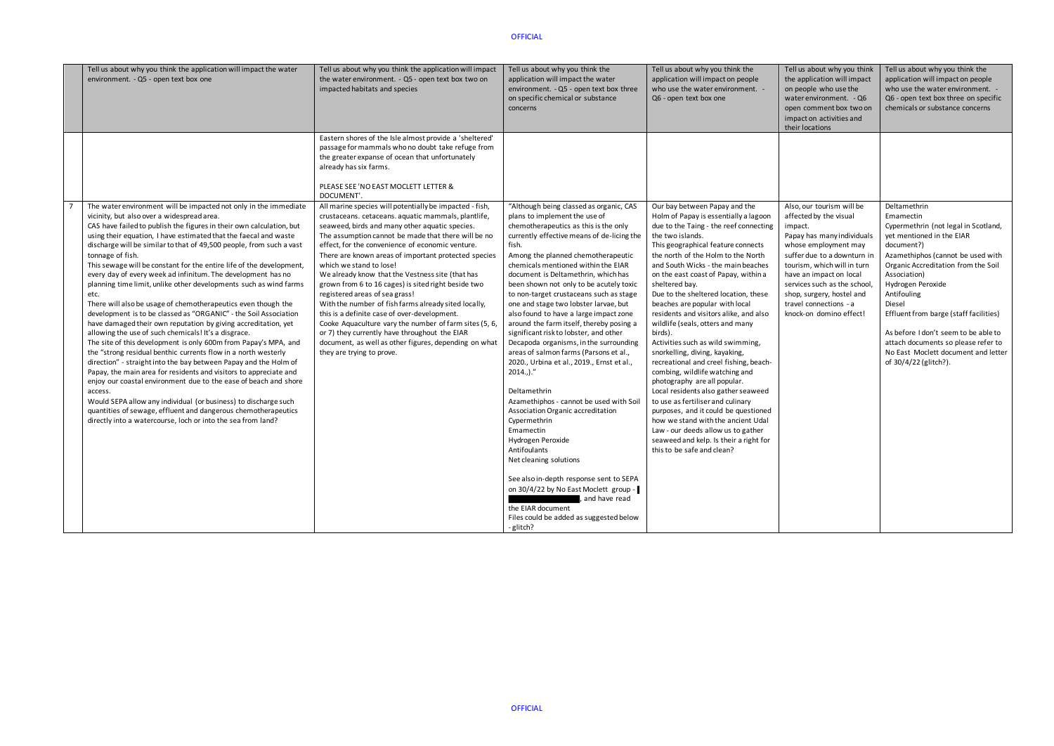| Tell us about why you think the application will impact the water<br>environment. - Q5 - open text box one                                                                                                                                                                                                                                                                                                                                                                                                                                                                                                                                                                                                                                                                                                                                                                                                                                                                                                                                                                                                                                                                                                                                                                                                                                                                                                   | Tell us about why you think the application will impact<br>the water environment. - Q5 - open text box two on<br>impacted habitats and species                                                                                                                                                                                                                                                                                                                                                                                                                                                                                                                                                                                                                                                                       | Tell us about why you think the<br>application will impact the water<br>environment. - Q5 - open text box three<br>on specific chemical or substance<br>concerns                                                                                                                                                                                                                                                                                                                                                                                                                                                                                                                                                                                                                                                                                                                                                                                                                                                                                                                             | Tell us about why you think the<br>application will impact on people<br>who use the water environment. -<br>Q6 - open text box one                                                                                                                                                                                                                                                                                                                                                                                                                                                                                                                                                                                                                                                                                                                                                                                                             | Tell us about why you think<br>the application will impact<br>on people who use the<br>water environment. - Q6<br>open comment box two on<br>impact on activities and<br>their locations                                                                                                                                       | Tell us about why you think the<br>application will impact on people<br>who use the water environment. -<br>Q6 - open text box three on specific<br>chemicals or substance concerns                                                                                                                                                                                                                                                             |
|--------------------------------------------------------------------------------------------------------------------------------------------------------------------------------------------------------------------------------------------------------------------------------------------------------------------------------------------------------------------------------------------------------------------------------------------------------------------------------------------------------------------------------------------------------------------------------------------------------------------------------------------------------------------------------------------------------------------------------------------------------------------------------------------------------------------------------------------------------------------------------------------------------------------------------------------------------------------------------------------------------------------------------------------------------------------------------------------------------------------------------------------------------------------------------------------------------------------------------------------------------------------------------------------------------------------------------------------------------------------------------------------------------------|----------------------------------------------------------------------------------------------------------------------------------------------------------------------------------------------------------------------------------------------------------------------------------------------------------------------------------------------------------------------------------------------------------------------------------------------------------------------------------------------------------------------------------------------------------------------------------------------------------------------------------------------------------------------------------------------------------------------------------------------------------------------------------------------------------------------|----------------------------------------------------------------------------------------------------------------------------------------------------------------------------------------------------------------------------------------------------------------------------------------------------------------------------------------------------------------------------------------------------------------------------------------------------------------------------------------------------------------------------------------------------------------------------------------------------------------------------------------------------------------------------------------------------------------------------------------------------------------------------------------------------------------------------------------------------------------------------------------------------------------------------------------------------------------------------------------------------------------------------------------------------------------------------------------------|------------------------------------------------------------------------------------------------------------------------------------------------------------------------------------------------------------------------------------------------------------------------------------------------------------------------------------------------------------------------------------------------------------------------------------------------------------------------------------------------------------------------------------------------------------------------------------------------------------------------------------------------------------------------------------------------------------------------------------------------------------------------------------------------------------------------------------------------------------------------------------------------------------------------------------------------|--------------------------------------------------------------------------------------------------------------------------------------------------------------------------------------------------------------------------------------------------------------------------------------------------------------------------------|-------------------------------------------------------------------------------------------------------------------------------------------------------------------------------------------------------------------------------------------------------------------------------------------------------------------------------------------------------------------------------------------------------------------------------------------------|
|                                                                                                                                                                                                                                                                                                                                                                                                                                                                                                                                                                                                                                                                                                                                                                                                                                                                                                                                                                                                                                                                                                                                                                                                                                                                                                                                                                                                              | Eastern shores of the Isle almost provide a 'sheltered'<br>passage for mammals who no doubt take refuge from<br>the greater expanse of ocean that unfortunately<br>already has six farms.<br>PLEASE SEE 'NO EAST MOCLETT LETTER &<br>DOCUMENT'.                                                                                                                                                                                                                                                                                                                                                                                                                                                                                                                                                                      |                                                                                                                                                                                                                                                                                                                                                                                                                                                                                                                                                                                                                                                                                                                                                                                                                                                                                                                                                                                                                                                                                              |                                                                                                                                                                                                                                                                                                                                                                                                                                                                                                                                                                                                                                                                                                                                                                                                                                                                                                                                                |                                                                                                                                                                                                                                                                                                                                |                                                                                                                                                                                                                                                                                                                                                                                                                                                 |
| The water environment will be impacted not only in the immediate<br>vicinity, but also over a widespread area.<br>CAS have failed to publish the figures in their own calculation, but<br>using their equation, I have estimated that the faecal and waste<br>discharge will be similar to that of 49,500 people, from such a vast<br>tonnage of fish.<br>This sewage will be constant for the entire life of the development,<br>every day of every week ad infinitum. The development has no<br>planning time limit, unlike other developments such as wind farms<br>etc.<br>There will also be usage of chemotherapeutics even though the<br>development is to be classed as "ORGANIC" - the Soil Association<br>have damaged their own reputation by giving accreditation, yet<br>allowing the use of such chemicals! It's a disgrace.<br>The site of this development is only 600m from Papay's MPA, and<br>the "strong residual benthic currents flow in a north westerly<br>direction" - straight into the bay between Papay and the Holm of<br>Papay, the main area for residents and visitors to appreciate and<br>enjoy our coastal environment due to the ease of beach and shore<br>access.<br>Would SEPA allow any individual (or business) to discharge such<br>quantities of sewage, effluent and dangerous chemotherapeutics<br>directly into a watercourse, loch or into the sea from land? | All marine species will potentially be impacted - fish,<br>crustaceans. cetaceans. aquatic mammals, plantlife,<br>seaweed, birds and many other aquatic species.<br>The assumption cannot be made that there will be no<br>effect, for the convenience of economic venture.<br>There are known areas of important protected species<br>which we stand to lose!<br>We already know that the Vestness site (that has<br>grown from 6 to 16 cages) is sited right beside two<br>registered areas of sea grass!<br>With the number of fish farms already sited locally,<br>this is a definite case of over-development.<br>Cooke Aquaculture vary the number of farm sites (5, 6,<br>or 7) they currently have throughout the EIAR<br>document, as well as other figures, depending on what<br>they are trying to prove. | "Although being classed as organic, CAS<br>plans to implement the use of<br>chemotherapeutics as this is the only<br>currently effective means of de-licing the<br>fish.<br>Among the planned chemotherapeutic<br>chemicals mentioned within the EIAR<br>document is Deltamethrin, which has<br>been shown not only to be acutely toxic<br>to non-target crustaceans such as stage<br>one and stage two lobster larvae, but<br>also found to have a large impact zone<br>around the farm itself, thereby posing a<br>significant risk to lobster, and other<br>Decapoda organisms, in the surrounding<br>areas of salmon farms (Parsons et al.,<br>2020., Urbina et al., 2019., Ernst et al.,<br>$2014.$ )."<br>Deltamethrin<br>Azamethiphos - cannot be used with Soil<br>Association Organic accreditation<br>Cypermethrin<br>Emamectin<br>Hydrogen Peroxide<br>Antifoulants<br>Net cleaning solutions<br>See also in-depth response sent to SEPA<br>on 30/4/22 by No East Moclett group -<br>, and have read<br>the EIAR document<br>Files could be added as suggested below<br>- glitch? | Our bay between Papay and the<br>Holm of Papay is essentially a lagoon<br>due to the Taing - the reef connecting<br>the two islands.<br>This geographical feature connects<br>the north of the Holm to the North<br>and South Wicks - the main beaches<br>on the east coast of Papay, within a<br>sheltered bay.<br>Due to the sheltered location, these<br>beaches are popular with local<br>residents and visitors alike, and also<br>wildlife (seals, otters and many<br>birds).<br>Activities such as wild swimming,<br>snorkelling, diving, kayaking,<br>recreational and creel fishing, beach-<br>combing, wildlife watching and<br>photography are all popular.<br>Local residents also gather seaweed<br>to use as fertiliser and culinary<br>purposes, and it could be questioned<br>how we stand with the ancient Udal<br>Law - our deeds allow us to gather<br>seaweed and kelp. Is their a right for<br>this to be safe and clean? | Also, our tourism will be<br>affected by the visual<br>impact.<br>Papay has many individuals<br>whose employment may<br>suffer due to a downturn in<br>tourism, which will in turn<br>have an impact on local<br>services such as the school<br>shop, surgery, hostel and<br>travel connections - a<br>knock-on domino effect! | Deltamethrin<br>Emamectin<br>Cypermethrin (not legal in Scotland,<br>yet mentioned in the EIAR<br>document?)<br>Azamethiphos (cannot be used with<br>Organic Accreditation from the Soil<br>Association)<br>Hydrogen Peroxide<br>Antifouling<br>Diesel<br>Effluent from barge (staff facilities)<br>As before I don't seem to be able to<br>attach documents so please refer to<br>No East Moclett document and letter<br>of 30/4/22 (glitch?). |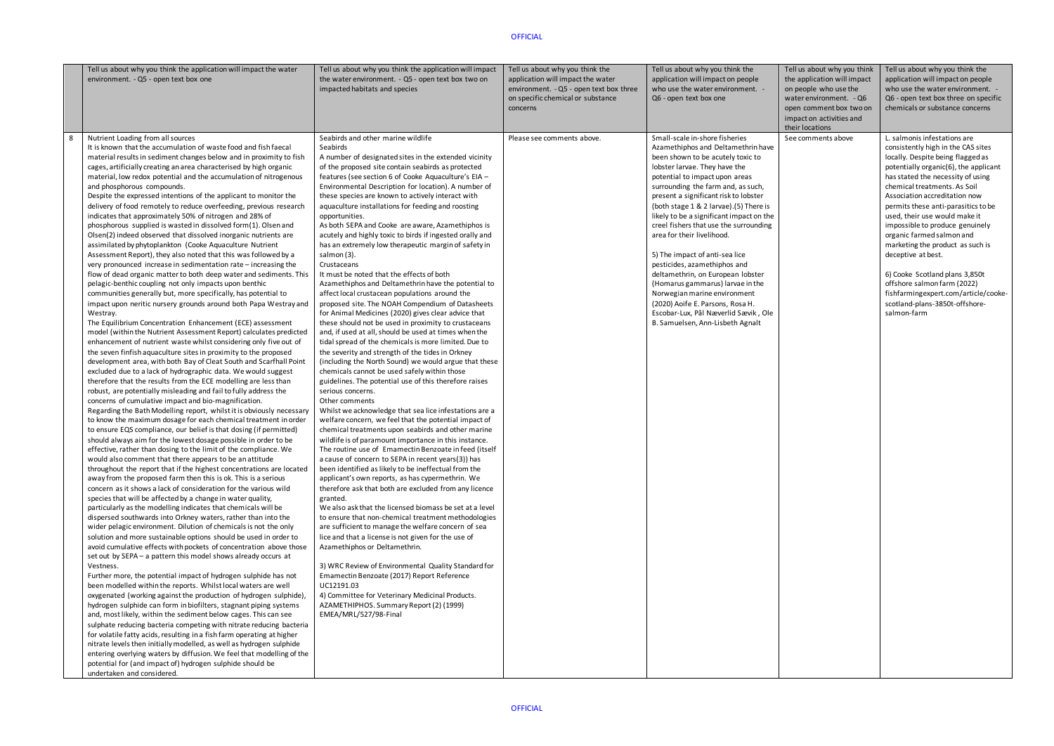|   | Tell us about why you think the application will impact the water<br>environment. - Q5 - open text box one                                                                                                                                                                                                                                                                                                                                                                                                                                                                                                                                                                                                                                                                                                                                                                                                                                                                                                                                                                                                                                                                                                                                                                                                                                                                                                                                                                                                                                                                                                                                                                                                                                                                                                                                                                                                                                                                                                                                                                                                                                                                                                                                                                                                                                                                                                                                                                                                                                                                                                                                                                                                                                                                                                                                                                                                                                                                                                                                                                                                                                                                                                                                                                                                                                                                                                                                                                                                                                                                                                                                                                            | Tell us about why you think the application will impact<br>the water environment. - Q5 - open text box two on<br>impacted habitats and species                                                                                                                                                                                                                                                                                                                                                                                                                                                                                                                                                                                                                                                                                                                                                                                                                                                                                                                                                                                                                                                                                                                                                                                                                                                                                                                                                                                                                                                                                                                                                                                                                                                                                                                                                                                                                                                                                                                                                                                                                                                                                                                                                                                                                          | Tell us about why you think the<br>application will impact the water<br>environment. - Q5 - open text box three<br>on specific chemical or substance<br>concerns | Tell us about why you think the<br>application will impact on people<br>who use the water environment. -<br>Q6 - open text box one                                                                                                                                                                                                                                                                                                                                                                                                                                                                                                                                                                                   | Tell us about why you think<br>the application will impact<br>on people who use the<br>water environment. - Q6<br>open comment box two on<br>impact on activities and<br>their locations | Tell us about why you think the<br>application will impact on people<br>who use the water environment. -<br>Q6 - open text box three on specific<br>chemicals or substance concerns                                                                                                                                                                                                                                                                                                                                                                                                                                |
|---|---------------------------------------------------------------------------------------------------------------------------------------------------------------------------------------------------------------------------------------------------------------------------------------------------------------------------------------------------------------------------------------------------------------------------------------------------------------------------------------------------------------------------------------------------------------------------------------------------------------------------------------------------------------------------------------------------------------------------------------------------------------------------------------------------------------------------------------------------------------------------------------------------------------------------------------------------------------------------------------------------------------------------------------------------------------------------------------------------------------------------------------------------------------------------------------------------------------------------------------------------------------------------------------------------------------------------------------------------------------------------------------------------------------------------------------------------------------------------------------------------------------------------------------------------------------------------------------------------------------------------------------------------------------------------------------------------------------------------------------------------------------------------------------------------------------------------------------------------------------------------------------------------------------------------------------------------------------------------------------------------------------------------------------------------------------------------------------------------------------------------------------------------------------------------------------------------------------------------------------------------------------------------------------------------------------------------------------------------------------------------------------------------------------------------------------------------------------------------------------------------------------------------------------------------------------------------------------------------------------------------------------------------------------------------------------------------------------------------------------------------------------------------------------------------------------------------------------------------------------------------------------------------------------------------------------------------------------------------------------------------------------------------------------------------------------------------------------------------------------------------------------------------------------------------------------------------------------------------------------------------------------------------------------------------------------------------------------------------------------------------------------------------------------------------------------------------------------------------------------------------------------------------------------------------------------------------------------------------------------------------------------------------------------------------------------|-------------------------------------------------------------------------------------------------------------------------------------------------------------------------------------------------------------------------------------------------------------------------------------------------------------------------------------------------------------------------------------------------------------------------------------------------------------------------------------------------------------------------------------------------------------------------------------------------------------------------------------------------------------------------------------------------------------------------------------------------------------------------------------------------------------------------------------------------------------------------------------------------------------------------------------------------------------------------------------------------------------------------------------------------------------------------------------------------------------------------------------------------------------------------------------------------------------------------------------------------------------------------------------------------------------------------------------------------------------------------------------------------------------------------------------------------------------------------------------------------------------------------------------------------------------------------------------------------------------------------------------------------------------------------------------------------------------------------------------------------------------------------------------------------------------------------------------------------------------------------------------------------------------------------------------------------------------------------------------------------------------------------------------------------------------------------------------------------------------------------------------------------------------------------------------------------------------------------------------------------------------------------------------------------------------------------------------------------------------------------|------------------------------------------------------------------------------------------------------------------------------------------------------------------|----------------------------------------------------------------------------------------------------------------------------------------------------------------------------------------------------------------------------------------------------------------------------------------------------------------------------------------------------------------------------------------------------------------------------------------------------------------------------------------------------------------------------------------------------------------------------------------------------------------------------------------------------------------------------------------------------------------------|------------------------------------------------------------------------------------------------------------------------------------------------------------------------------------------|--------------------------------------------------------------------------------------------------------------------------------------------------------------------------------------------------------------------------------------------------------------------------------------------------------------------------------------------------------------------------------------------------------------------------------------------------------------------------------------------------------------------------------------------------------------------------------------------------------------------|
| 8 | Nutrient Loading from all sources<br>It is known that the accumulation of waste food and fish faecal<br>material results in sediment changes below and in proximity to fish<br>cages, artificially creating an area characterised by high organic<br>material, low redox potential and the accumulation of nitrogenous<br>and phosphorous compounds.<br>Despite the expressed intentions of the applicant to monitor the<br>delivery of food remotely to reduce overfeeding, previous research<br>indicates that approximately 50% of nitrogen and 28% of<br>phosphorous supplied is wasted in dissolved form(1). Olsen and<br>Olsen(2) indeed observed that dissolved inorganic nutrients are<br>assimilated by phytoplankton (Cooke Aquaculture Nutrient<br>Assessment Report), they also noted that this was followed by a<br>very pronounced increase in sedimentation rate - increasing the<br>flow of dead organic matter to both deep water and sediments. This<br>pelagic-benthic coupling not only impacts upon benthic<br>communities generally but, more specifically, has potential to<br>impact upon neritic nursery grounds around both Papa Westray and<br>Westray.<br>The Equilibrium Concentration Enhancement (ECE) assessment<br>model (within the Nutrient Assessment Report) calculates predicted<br>enhancement of nutrient waste whilst considering only five out of<br>the seven finfish aquaculture sites in proximity to the proposed<br>development area, with both Bay of Cleat South and Scarfhall Point<br>excluded due to a lack of hydrographic data. We would suggest<br>therefore that the results from the ECE modelling are less than<br>robust, are potentially misleading and fail to fully address the<br>concerns of cumulative impact and bio-magnification.<br>Regarding the Bath Modelling report, whilst it is obviously necessary<br>to know the maximum dosage for each chemical treatment in order<br>to ensure EQS compliance, our belief is that dosing (if permitted)<br>should always aim for the lowest dosage possible in order to be<br>effective, rather than dosing to the limit of the compliance. We<br>would also comment that there appears to be an attitude<br>throughout the report that if the highest concentrations are located<br>away from the proposed farm then this is ok. This is a serious<br>concern as it shows a lack of consideration for the various wild<br>species that will be affected by a change in water quality,<br>particularly as the modelling indicates that chemicals will be<br>dispersed southwards into Orkney waters, rather than into the<br>wider pelagic environment. Dilution of chemicals is not the only<br>solution and more sustainable options should be used in order to<br>avoid cumulative effects with pockets of concentration above those<br>set out by SEPA - a pattern this model shows already occurs at<br>Vestness.<br>Further more, the potential impact of hydrogen sulphide has not<br>been modelled within the reports. Whilst local waters are well<br>oxygenated (working against the production of hydrogen sulphide),<br>hydrogen sulphide can form in biofilters, stagnant piping systems<br>and, most likely, within the sediment below cages. This can see<br>sulphate reducing bacteria competing with nitrate reducing bacteria<br>for volatile fatty acids, resulting in a fish farm operating at higher<br>nitrate levels then initially modelled, as well as hydrogen sulphide<br>entering overlying waters by diffusion. We feel that modelling of the<br>potential for (and impact of) hydrogen sulphide should be<br>undertaken and considered. | Seabirds and other marine wildlife<br>Seabirds<br>A number of designated sites in the extended vicinity<br>of the proposed site contain seabirds as protected<br>features (see section 6 of Cooke Aquaculture's EIA -<br>Environmental Description for location). A number of<br>these species are known to actively interact with<br>aquaculture installations for feeding and roosting<br>opportunities.<br>As both SEPA and Cooke are aware, Azamethiphos is<br>acutely and highly toxic to birds if ingested orally and<br>has an extremely low therapeutic margin of safety in<br>salmon (3).<br>Crustaceans<br>It must be noted that the effects of both<br>Azamethiphos and Deltamethrin have the potential to<br>affect local crustacean populations around the<br>proposed site. The NOAH Compendium of Datasheets<br>for Animal Medicines (2020) gives clear advice that<br>these should not be used in proximity to crustaceans<br>and, if used at all, should be used at times when the<br>tidal spread of the chemicals is more limited. Due to<br>the severity and strength of the tides in Orkney<br>(including the North Sound) we would argue that these<br>chemicals cannot be used safely within those<br>guidelines. The potential use of this therefore raises<br>serious concerns.<br>Other comments<br>Whilst we acknowledge that sea lice infestations are a<br>welfare concern, we feel that the potential impact of<br>chemical treatments upon seabirds and other marine<br>wildlife is of paramount importance in this instance.<br>The routine use of Emamectin Benzoate in feed (itself<br>a cause of concern to SEPA in recent years(3)) has<br>been identified as likely to be ineffectual from the<br>applicant's own reports, as has cypermethrin. We<br>therefore ask that both are excluded from any licence<br>granted.<br>We also ask that the licensed biomass be set at a level<br>to ensure that non-chemical treatment methodologies<br>are sufficient to manage the welfare concern of sea<br>lice and that a license is not given for the use of<br>Azamethiphos or Deltamethrin.<br>3) WRC Review of Environmental Quality Standard for<br>Emamectin Benzoate (2017) Report Reference<br>UC12191.03<br>4) Committee for Veterinary Medicinal Products.<br>AZAMETHIPHOS. Summary Report (2) (1999)<br>EMEA/MRL/527/98-Final | Please see comments above.                                                                                                                                       | Small-scale in-shore fisheries<br>Azamethiphos and Deltamethrin have<br>been shown to be acutely toxic to<br>lobster larvae. They have the<br>potential to impact upon areas<br>surrounding the farm and, as such,<br>present a significant risk to lobster<br>(both stage 1 & 2 larvae).(5) There is<br>likely to be a significant impact on the<br>creel fishers that use the surrounding<br>area for their livelihood.<br>5) The impact of anti-sea lice<br>pesticides, azamethiphos and<br>deltamethrin, on European lobster<br>(Homarus gammarus) larvae in the<br>Norwegian marine environment<br>(2020) Aoife E. Parsons, Rosa H.<br>Escobar-Lux, Pål Næverlid Sævik, Ole<br>B. Samuelsen, Ann-Lisbeth Agnalt | See comments above                                                                                                                                                                       | L. salmonis infestations are<br>consistently high in the CAS sites<br>locally. Despite being flagged as<br>potentially organic(6), the applicant<br>has stated the necessity of using<br>chemical treatments. As Soil<br>Association accreditation now<br>permits these anti-parasitics to be<br>used, their use would make it<br>impossible to produce genuinely<br>organic farmed salmon and<br>marketing the product as such is<br>deceptive at best.<br>6) Cooke Scotland plans 3,850t<br>offshore salmon farm (2022)<br>fishfarmingexpert.com/article/cooke-<br>scotland-plans-3850t-offshore-<br>salmon-farm |